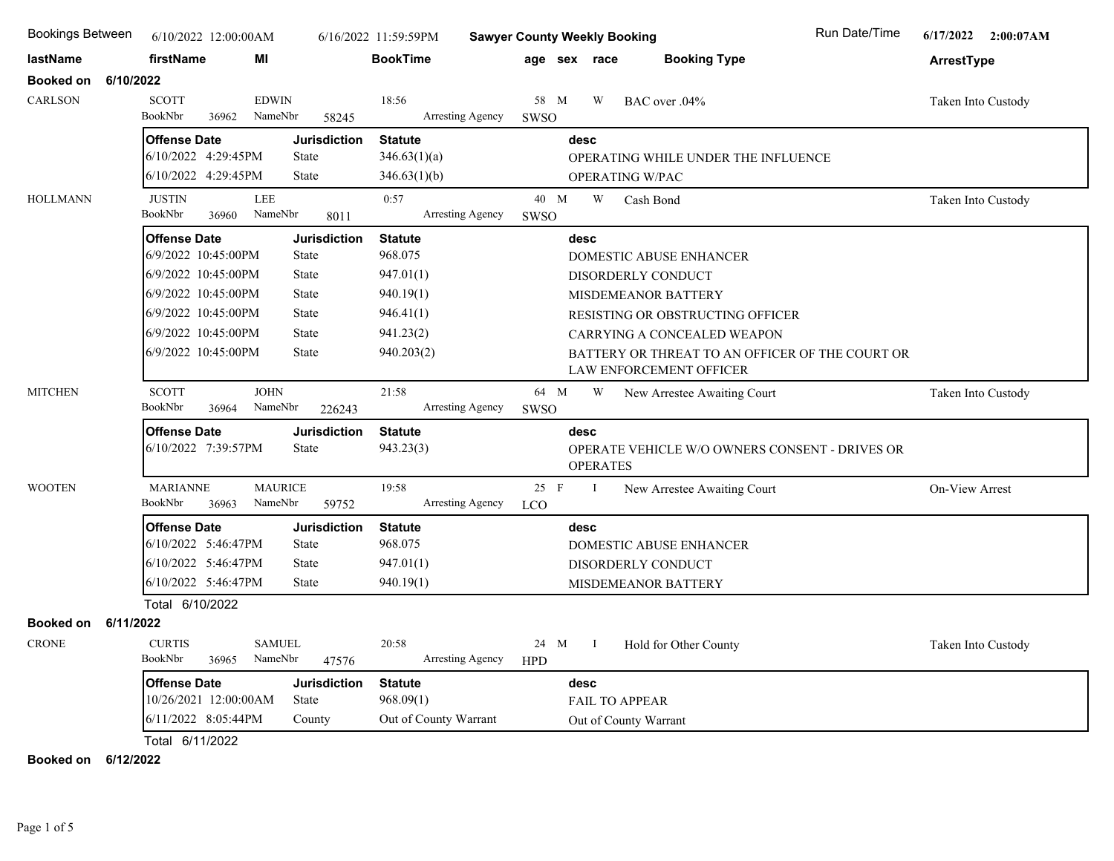| <b>Bookings Between</b>       | 6/10/2022 12:00:00AM                       |                                     | 6/16/2022 11:59:59PM        | <b>Sawyer County Weekly Booking</b> |                        |                                                       | Run Date/Time | 6/17/2022 2:00:07AM |
|-------------------------------|--------------------------------------------|-------------------------------------|-----------------------------|-------------------------------------|------------------------|-------------------------------------------------------|---------------|---------------------|
| lastName                      | firstName<br>ΜI                            |                                     | <b>BookTime</b>             | age sex race                        |                        | <b>Booking Type</b>                                   |               | ArrestType          |
| Booked on<br>6/10/2022        |                                            |                                     |                             |                                     |                        |                                                       |               |                     |
| CARLSON                       | <b>SCOTT</b><br>BookNbr<br>36962           | <b>EDWIN</b><br>NameNbr<br>58245    | 18:56<br>Arresting Agency   | 58 M<br>SWSO                        | W                      | BAC over .04%                                         |               | Taken Into Custody  |
|                               | <b>Offense Date</b>                        | <b>Jurisdiction</b>                 | <b>Statute</b>              | desc                                |                        |                                                       |               |                     |
|                               | 6/10/2022 4:29:45PM                        | <b>State</b>                        | 346.63(1)(a)                |                                     |                        | OPERATING WHILE UNDER THE INFLUENCE                   |               |                     |
|                               | 6/10/2022 4:29:45PM                        | <b>State</b>                        | 346.63(1)(b)                |                                     | <b>OPERATING W/PAC</b> |                                                       |               |                     |
| <b>HOLLMANN</b>               | <b>JUSTIN</b><br>BookNbr<br>36960          | LEE<br>NameNbr<br>8011              | 0:57<br>Arresting Agency    | 40 M<br>SWSO                        | W                      | Cash Bond                                             |               | Taken Into Custody  |
|                               | <b>Offense Date</b>                        | <b>Jurisdiction</b>                 | <b>Statute</b>              | desc                                |                        |                                                       |               |                     |
|                               | 6/9/2022 10:45:00PM                        | <b>State</b>                        | 968.075                     |                                     |                        | DOMESTIC ABUSE ENHANCER                               |               |                     |
|                               | 6/9/2022 10:45:00PM                        | <b>State</b>                        | 947.01(1)                   |                                     |                        | DISORDERLY CONDUCT                                    |               |                     |
|                               | 6/9/2022 10:45:00PM                        | <b>State</b>                        | 940.19(1)                   |                                     |                        | MISDEMEANOR BATTERY                                   |               |                     |
|                               | 6/9/2022 10:45:00PM                        | <b>State</b>                        | 946.41(1)                   |                                     |                        | RESISTING OR OBSTRUCTING OFFICER                      |               |                     |
|                               | 6/9/2022 10:45:00PM                        | <b>State</b>                        | 941.23(2)                   |                                     |                        | CARRYING A CONCEALED WEAPON                           |               |                     |
|                               | 6/9/2022 10:45:00PM                        | <b>State</b>                        | 940.203(2)                  |                                     |                        | BATTERY OR THREAT TO AN OFFICER OF THE COURT OR       |               |                     |
|                               |                                            |                                     |                             |                                     |                        | <b>LAW ENFORCEMENT OFFICER</b>                        |               |                     |
| <b>MITCHEN</b>                | <b>SCOTT</b><br>BookNbr<br>36964           | <b>JOHN</b><br>NameNbr<br>226243    | 21:58<br>Arresting Agency   | 64 M<br>SWSO                        | W                      | New Arrestee Awaiting Court                           |               | Taken Into Custody  |
|                               | <b>Offense Date</b><br>6/10/2022 7:39:57PM | <b>Jurisdiction</b><br><b>State</b> | <b>Statute</b><br>943.23(3) | desc                                | <b>OPERATES</b>        | <b>OPERATE VEHICLE W/O OWNERS CONSENT - DRIVES OR</b> |               |                     |
| <b>WOOTEN</b>                 | <b>MARIANNE</b><br>BookNbr<br>36963        | <b>MAURICE</b><br>NameNbr<br>59752  | 19:58<br>Arresting Agency   | $25$ F<br><b>LCO</b>                | $\mathbf I$            | New Arrestee Awaiting Court                           |               | On-View Arrest      |
|                               | <b>Offense Date</b>                        | <b>Jurisdiction</b>                 | <b>Statute</b>              | desc                                |                        |                                                       |               |                     |
|                               | 6/10/2022 5:46:47PM                        | <b>State</b>                        | 968.075                     |                                     |                        | DOMESTIC ABUSE ENHANCER                               |               |                     |
|                               | 6/10/2022 5:46:47PM                        | <b>State</b>                        | 947.01(1)                   |                                     |                        | DISORDERLY CONDUCT                                    |               |                     |
|                               | 6/10/2022 5:46:47PM                        | State                               | 940.19(1)                   |                                     |                        | MISDEMEANOR BATTERY                                   |               |                     |
|                               | Total 6/10/2022                            |                                     |                             |                                     |                        |                                                       |               |                     |
| <b>Booked on</b><br>6/11/2022 |                                            |                                     |                             |                                     |                        |                                                       |               |                     |
| <b>CRONE</b>                  | <b>CURTIS</b><br>BookNbr<br>36965          | <b>SAMUEL</b><br>NameNbr<br>47576   | 20:58<br>Arresting Agency   | 24 M<br><b>HPD</b>                  | $\mathbf{I}$           | Hold for Other County                                 |               | Taken Into Custody  |
|                               | <b>Offense Date</b>                        | <b>Jurisdiction</b>                 | <b>Statute</b>              | desc                                |                        |                                                       |               |                     |
|                               | 10/26/2021 12:00:00AM                      | State                               | 968.09(1)                   |                                     | <b>FAIL TO APPEAR</b>  |                                                       |               |                     |
|                               | 6/11/2022 8:05:44PM                        | County                              | Out of County Warrant       |                                     | Out of County Warrant  |                                                       |               |                     |
|                               | Total 6/11/2022                            |                                     |                             |                                     |                        |                                                       |               |                     |

**Booked on 6/12/2022**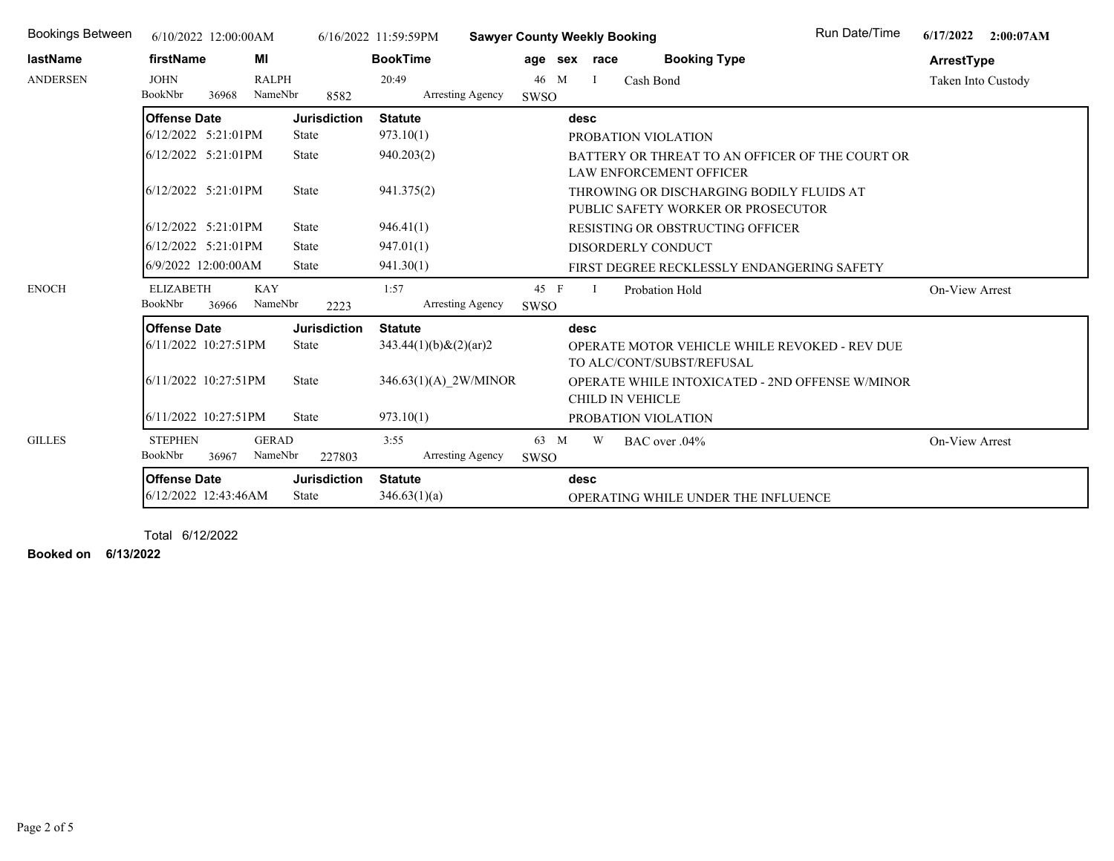| <b>Bookings Between</b> | 6/10/2022 12:00:00AM                        |                         |                              | 6/16/2022 11:59:59PM           | <b>Sawyer County Weekly Booking</b> |              |                         |                                                                                   | <b>Run Date/Time</b> | 6/17/2022          | 2:00:07AM |
|-------------------------|---------------------------------------------|-------------------------|------------------------------|--------------------------------|-------------------------------------|--------------|-------------------------|-----------------------------------------------------------------------------------|----------------------|--------------------|-----------|
| lastName                | firstName                                   | МI                      |                              | <b>BookTime</b>                |                                     | age sex race |                         | <b>Booking Type</b>                                                               |                      | ArrestType         |           |
| <b>ANDERSEN</b>         | <b>JOHN</b><br>BookNbr<br>36968             | <b>RALPH</b><br>NameNbr | 8582                         | 20:49<br>Arresting Agency      | 46 M<br>SWSO                        | <sup>1</sup> |                         | Cash Bond                                                                         |                      | Taken Into Custody |           |
|                         | <b>Offense Date</b>                         |                         | <b>Jurisdiction</b>          | <b>Statute</b>                 |                                     | desc         |                         |                                                                                   |                      |                    |           |
|                         | 6/12/2022 5:21:01PM                         |                         | State                        | 973.10(1)                      |                                     |              |                         | PROBATION VIOLATION                                                               |                      |                    |           |
|                         | $6/12/2022$ 5:21:01PM                       |                         | State                        | 940.203(2)                     |                                     |              |                         | BATTERY OR THREAT TO AN OFFICER OF THE COURT OR<br><b>LAW ENFORCEMENT OFFICER</b> |                      |                    |           |
|                         | $6/12/2022$ 5:21:01PM                       |                         | State                        | 941.375(2)                     |                                     |              |                         | THROWING OR DISCHARGING BODILY FLUIDS AT<br>PUBLIC SAFETY WORKER OR PROSECUTOR    |                      |                    |           |
|                         | $6/12/2022$ 5:21:01PM                       |                         | <b>State</b>                 | 946.41(1)                      |                                     |              |                         | RESISTING OR OBSTRUCTING OFFICER                                                  |                      |                    |           |
|                         | l6/12/2022 5:21:01PM                        |                         | <b>State</b>                 | 947.01(1)                      |                                     |              |                         | DISORDERLY CONDUCT                                                                |                      |                    |           |
|                         | 6/9/2022 12:00:00AM                         |                         | <b>State</b>                 | 941.30(1)                      |                                     |              |                         | FIRST DEGREE RECKLESSLY ENDANGERING SAFETY                                        |                      |                    |           |
| <b>ENOCH</b>            | <b>ELIZABETH</b><br>BookNbr<br>36966        | <b>KAY</b><br>NameNbr   | 2223                         | 1:57<br>Arresting Agency       | 45 F<br><b>SWSO</b>                 | <sup>1</sup> |                         | Probation Hold                                                                    |                      | On-View Arrest     |           |
|                         | <b>Offense Date</b>                         |                         | <b>Jurisdiction</b>          | <b>Statute</b>                 |                                     | desc         |                         |                                                                                   |                      |                    |           |
|                         | 6/11/2022 10:27:51PM                        |                         | <b>State</b>                 | $343.44(1)(b)$ & $(2)(ar)2$    |                                     |              |                         | OPERATE MOTOR VEHICLE WHILE REVOKED - REV DUE<br>TO ALC/CONT/SUBST/REFUSAL        |                      |                    |           |
|                         | 6/11/2022 10:27:51PM                        |                         | <b>State</b>                 | 346.63(1)(A) 2W/MINOR          |                                     |              | <b>CHILD IN VEHICLE</b> | OPERATE WHILE INTOXICATED - 2ND OFFENSE W/MINOR                                   |                      |                    |           |
|                         | l6/11/2022 10:27:51PM                       |                         | <b>State</b>                 | 973.10(1)                      |                                     |              |                         | PROBATION VIOLATION                                                               |                      |                    |           |
| <b>GILLES</b>           | <b>STEPHEN</b><br>BookNbr<br>36967          | <b>GERAD</b><br>NameNbr | 227803                       | 3:55<br>Arresting Agency       | 63 M<br>SWSO                        | W            |                         | BAC over .04%                                                                     |                      | On-View Arrest     |           |
|                         | <b>Offense Date</b><br>6/12/2022 12:43:46AM |                         | <b>Jurisdiction</b><br>State | <b>Statute</b><br>346.63(1)(a) |                                     | desc         |                         | OPERATING WHILE UNDER THE INFLUENCE                                               |                      |                    |           |

Total 6/12/2022

**Booked on 6/13/2022**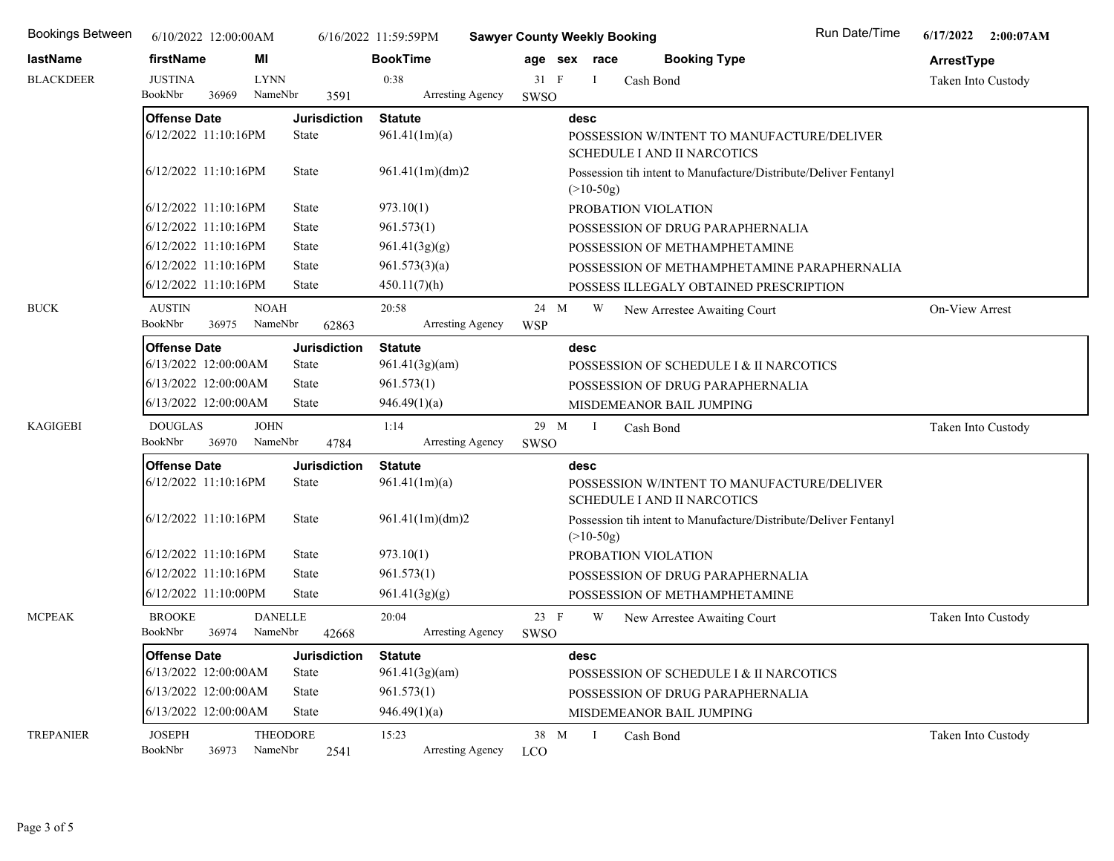| <b>Bookings Between</b> |                                             | 6/10/2022 12:00:00AM |                            |                              | 6/16/2022 11:59:59PM            | <b>Sawyer County Weekly Booking</b> |                |                     |                                                                                  | Run Date/Time                                                    | 6/17/2022 2:00:07AM   |
|-------------------------|---------------------------------------------|----------------------|----------------------------|------------------------------|---------------------------------|-------------------------------------|----------------|---------------------|----------------------------------------------------------------------------------|------------------------------------------------------------------|-----------------------|
| lastName                | firstName                                   |                      | MI                         |                              | <b>BookTime</b>                 |                                     | age sex race   |                     | <b>Booking Type</b>                                                              |                                                                  | ArrestType            |
| <b>BLACKDEER</b>        | <b>JUSTINA</b>                              |                      | <b>LYNN</b>                |                              | 0:38                            | 31 F                                | $\bf{I}$       | Cash Bond           |                                                                                  |                                                                  | Taken Into Custody    |
|                         | BookNbr                                     | 36969                | NameNbr                    | 3591                         | Arresting Agency                | SWSO                                |                |                     |                                                                                  |                                                                  |                       |
|                         | <b>Offense Date</b>                         |                      |                            | <b>Jurisdiction</b>          | <b>Statute</b>                  |                                     | desc           |                     |                                                                                  |                                                                  |                       |
|                         | 6/12/2022 11:10:16PM                        |                      |                            | State                        | 961.41(1m)(a)                   |                                     |                |                     | SCHEDULE I AND II NARCOTICS                                                      | POSSESSION W/INTENT TO MANUFACTURE/DELIVER                       |                       |
|                         | 6/12/2022 11:10:16PM                        |                      |                            | <b>State</b>                 | 961.41(1m)(dm)2                 |                                     | $(>10-50g)$    |                     |                                                                                  | Possession tih intent to Manufacture/Distribute/Deliver Fentanyl |                       |
|                         | 6/12/2022 11:10:16PM                        |                      |                            | <b>State</b>                 | 973.10(1)                       |                                     |                | PROBATION VIOLATION |                                                                                  |                                                                  |                       |
|                         | 6/12/2022 11:10:16PM                        |                      |                            | <b>State</b>                 | 961.573(1)                      |                                     |                |                     | POSSESSION OF DRUG PARAPHERNALIA                                                 |                                                                  |                       |
|                         | 6/12/2022 11:10:16PM                        |                      |                            | <b>State</b>                 | 961.41(3g)(g)                   |                                     |                |                     | POSSESSION OF METHAMPHETAMINE                                                    |                                                                  |                       |
|                         | 6/12/2022 11:10:16PM                        |                      |                            | <b>State</b>                 | 961.573(3)(a)                   |                                     |                |                     |                                                                                  | POSSESSION OF METHAMPHETAMINE PARAPHERNALIA                      |                       |
|                         | 6/12/2022 11:10:16PM                        |                      |                            | <b>State</b>                 | 450.11(7)(h)                    |                                     |                |                     | POSSESS ILLEGALY OBTAINED PRESCRIPTION                                           |                                                                  |                       |
| <b>BUCK</b>             | <b>AUSTIN</b><br>BookNbr                    | 36975                | <b>NOAH</b><br>NameNbr     | 62863                        | 20:58<br>Arresting Agency       | 24 M<br><b>WSP</b>                  | W              |                     | New Arrestee Awaiting Court                                                      |                                                                  | <b>On-View Arrest</b> |
|                         | <b>Offense Date</b>                         |                      |                            | <b>Jurisdiction</b>          | <b>Statute</b>                  |                                     | desc           |                     |                                                                                  |                                                                  |                       |
|                         | 6/13/2022 12:00:00AM                        |                      |                            | <b>State</b>                 | 961.41(3g)(am)                  |                                     |                |                     | POSSESSION OF SCHEDULE I & II NARCOTICS                                          |                                                                  |                       |
|                         | 6/13/2022 12:00:00AM                        |                      |                            | <b>State</b>                 | 961.573(1)                      |                                     |                |                     | POSSESSION OF DRUG PARAPHERNALIA                                                 |                                                                  |                       |
|                         | 6/13/2022 12:00:00AM                        |                      |                            | <b>State</b>                 | 946.49(1)(a)                    |                                     |                |                     | MISDEMEANOR BAIL JUMPING                                                         |                                                                  |                       |
| <b>KAGIGEBI</b>         | <b>DOUGLAS</b><br>BookNbr                   | 36970                | <b>JOHN</b><br>NameNbr     | 4784                         | 1:14<br>Arresting Agency        | 29 M<br>SWSO                        | $\blacksquare$ | Cash Bond           |                                                                                  |                                                                  | Taken Into Custody    |
|                         |                                             |                      |                            |                              |                                 |                                     |                |                     |                                                                                  |                                                                  |                       |
|                         | <b>Offense Date</b><br>6/12/2022 11:10:16PM |                      |                            | <b>Jurisdiction</b><br>State | <b>Statute</b><br>961.41(1m)(a) |                                     | desc           |                     | POSSESSION W/INTENT TO MANUFACTURE/DELIVER<br><b>SCHEDULE I AND II NARCOTICS</b> |                                                                  |                       |
|                         | 6/12/2022 11:10:16PM                        |                      |                            | State                        | 961.41(1m)(dm)2                 |                                     | $(>10-50g)$    |                     |                                                                                  | Possession tih intent to Manufacture/Distribute/Deliver Fentanyl |                       |
|                         | 6/12/2022 11:10:16PM                        |                      |                            | State                        | 973.10(1)                       |                                     |                | PROBATION VIOLATION |                                                                                  |                                                                  |                       |
|                         | 6/12/2022 11:10:16PM                        |                      |                            | <b>State</b>                 | 961.573(1)                      |                                     |                |                     | POSSESSION OF DRUG PARAPHERNALIA                                                 |                                                                  |                       |
|                         | 6/12/2022 11:10:00PM                        |                      |                            | <b>State</b>                 | 961.41(3g)(g)                   |                                     |                |                     | POSSESSION OF METHAMPHETAMINE                                                    |                                                                  |                       |
| <b>MCPEAK</b>           | <b>BROOKE</b><br>BookNbr                    | 36974                | <b>DANELLE</b><br>NameNbr  | 42668                        | 20:04<br>Arresting Agency       | 23 F<br>SWSO                        | W              |                     | New Arrestee Awaiting Court                                                      |                                                                  | Taken Into Custody    |
|                         | <b>Offense Date</b>                         |                      |                            | <b>Jurisdiction</b>          | <b>Statute</b>                  |                                     | desc           |                     |                                                                                  |                                                                  |                       |
|                         | 6/13/2022 12:00:00AM                        |                      |                            | State                        | 961.41(3g)(am)                  |                                     |                |                     | POSSESSION OF SCHEDULE I & II NARCOTICS                                          |                                                                  |                       |
|                         | 6/13/2022 12:00:00AM                        |                      |                            | State                        | 961.573(1)                      |                                     |                |                     | POSSESSION OF DRUG PARAPHERNALIA                                                 |                                                                  |                       |
|                         | 6/13/2022 12:00:00AM                        |                      |                            | <b>State</b>                 | 946.49(1)(a)                    |                                     |                |                     | MISDEMEANOR BAIL JUMPING                                                         |                                                                  |                       |
| <b>TREPANIER</b>        | <b>JOSEPH</b><br>BookNbr                    | 36973                | <b>THEODORE</b><br>NameNbr | 2541                         | 15:23<br>Arresting Agency       | 38 M<br><b>LCO</b>                  | -1             | Cash Bond           |                                                                                  |                                                                  | Taken Into Custody    |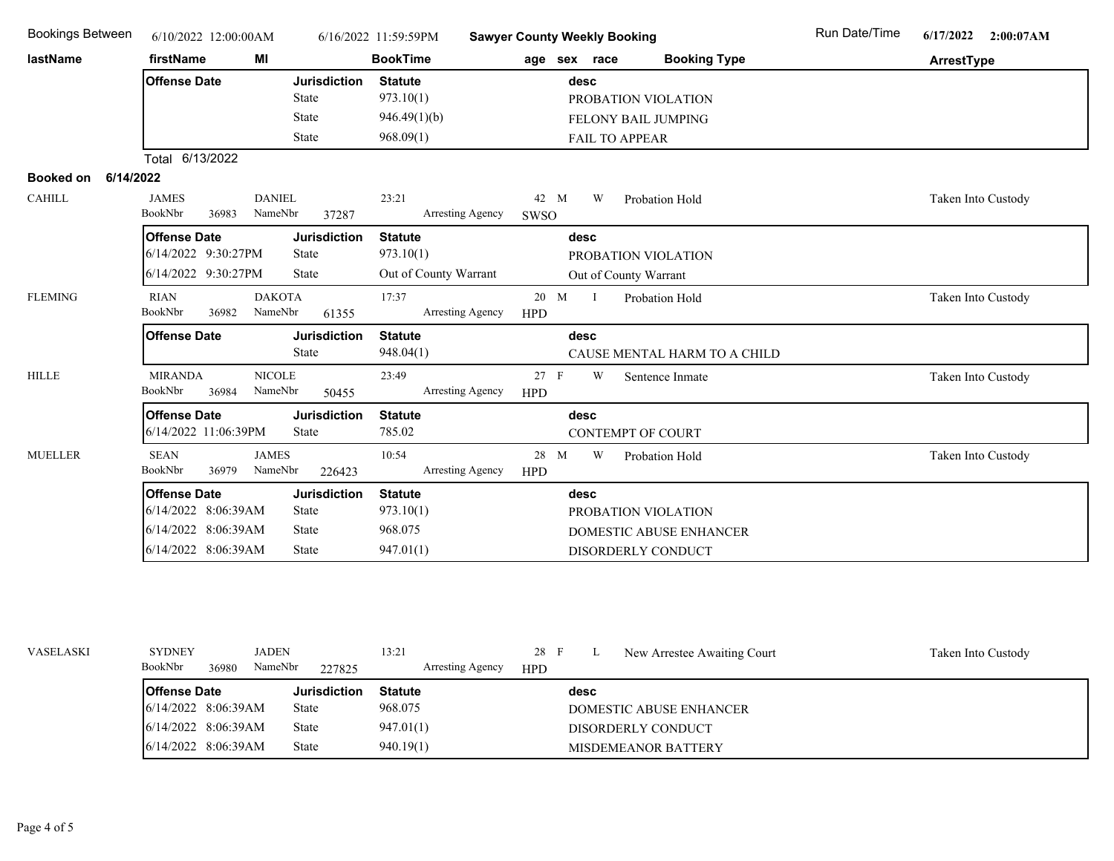| <b>Bookings Between</b>                 | 6/10/2022 12:00:00AM                                                                     |                                                              | 6/16/2022 11:59:59PM                                     | <b>Sawyer County Weekly Booking</b>                                                 | Run Date/Time<br>6/17/2022 2:00:07AM |
|-----------------------------------------|------------------------------------------------------------------------------------------|--------------------------------------------------------------|----------------------------------------------------------|-------------------------------------------------------------------------------------|--------------------------------------|
| lastName                                | firstName                                                                                | MI                                                           | <b>BookTime</b>                                          | <b>Booking Type</b><br>age sex race                                                 | ArrestType                           |
|                                         | <b>Offense Date</b>                                                                      | <b>Jurisdiction</b><br><b>State</b><br>State<br>State        | <b>Statute</b><br>973.10(1)<br>946.49(1)(b)<br>968.09(1) | desc<br>PROBATION VIOLATION<br>FELONY BAIL JUMPING<br>FAIL TO APPEAR                |                                      |
|                                         | Total 6/13/2022                                                                          |                                                              |                                                          |                                                                                     |                                      |
| 6/14/2022<br>Booked on<br><b>CAHILL</b> | <b>JAMES</b><br>BookNbr<br>36983                                                         | <b>DANIEL</b><br>NameNbr<br>37287                            | 23:21<br>Arresting Agency                                | 42 M<br>W<br>Probation Hold<br>SWSO                                                 | Taken Into Custody                   |
|                                         | <b>Offense Date</b><br>6/14/2022 9:30:27PM<br>6/14/2022 9:30:27PM                        | <b>Jurisdiction</b><br><b>State</b><br><b>State</b>          | <b>Statute</b><br>973.10(1)<br>Out of County Warrant     | desc<br>PROBATION VIOLATION<br>Out of County Warrant                                |                                      |
| <b>FLEMING</b>                          | <b>RIAN</b><br>BookNbr<br>36982                                                          | <b>DAKOTA</b><br>NameNbr<br>61355                            | 17:37<br>Arresting Agency                                | 20 M<br>$\mathbf{I}$<br>Probation Hold<br><b>HPD</b>                                | Taken Into Custody                   |
|                                         | <b>Offense Date</b>                                                                      | <b>Jurisdiction</b><br><b>State</b>                          | <b>Statute</b><br>948.04(1)                              | desc<br>CAUSE MENTAL HARM TO A CHILD                                                |                                      |
| <b>HILLE</b>                            | <b>MIRANDA</b><br>BookNbr<br>36984                                                       | <b>NICOLE</b><br>NameNbr<br>50455                            | 23:49<br>Arresting Agency                                | 27 F<br>W<br>Sentence Inmate<br><b>HPD</b>                                          | Taken Into Custody                   |
|                                         | <b>Offense Date</b><br>6/14/2022 11:06:39PM                                              | <b>Jurisdiction</b><br><b>State</b>                          | <b>Statute</b><br>785.02                                 | desc<br><b>CONTEMPT OF COURT</b>                                                    |                                      |
| <b>MUELLER</b>                          | <b>SEAN</b><br>BookNbr<br>36979                                                          | <b>JAMES</b><br>NameNbr<br>226423                            | 10:54<br>Arresting Agency                                | 28 M<br>W<br>Probation Hold<br><b>HPD</b>                                           | Taken Into Custody                   |
|                                         | <b>Offense Date</b><br>6/14/2022 8:06:39AM<br>6/14/2022 8:06:39AM<br>6/14/2022 8:06:39AM | <b>Jurisdiction</b><br><b>State</b><br><b>State</b><br>State | <b>Statute</b><br>973.10(1)<br>968.075<br>947.01(1)      | desc<br>PROBATION VIOLATION<br><b>DOMESTIC ABUSE ENHANCER</b><br>DISORDERLY CONDUCT |                                      |

| <b>VASELASKI</b> | <b>SYDNEY</b>          |       | <b>JADEN</b> |              | 13:21            | 28 F       |      | New Arrestee Awaiting Court | Taken Into Custody |
|------------------|------------------------|-------|--------------|--------------|------------------|------------|------|-----------------------------|--------------------|
|                  | BookNbr                | 36980 | NameNbr      | 227825       | Arresting Agency | <b>HPD</b> |      |                             |                    |
|                  | <b>Offense Date</b>    |       |              | Jurisdiction | <b>Statute</b>   |            | desc |                             |                    |
|                  | $6/14/2022$ 8:06:39AM  |       |              | State        | 968.075          |            |      | DOMESTIC ABUSE ENHANCER     |                    |
|                  | $6/14/2022$ 8:06:39AM  |       |              | State        | 947.01(1)        |            |      | DISORDERLY CONDUCT          |                    |
|                  | $16/14/2022$ 8:06:39AM |       |              | State        | 940.19(1)        |            |      | MISDEMEANOR BATTERY         |                    |
|                  |                        |       |              |              |                  |            |      |                             |                    |